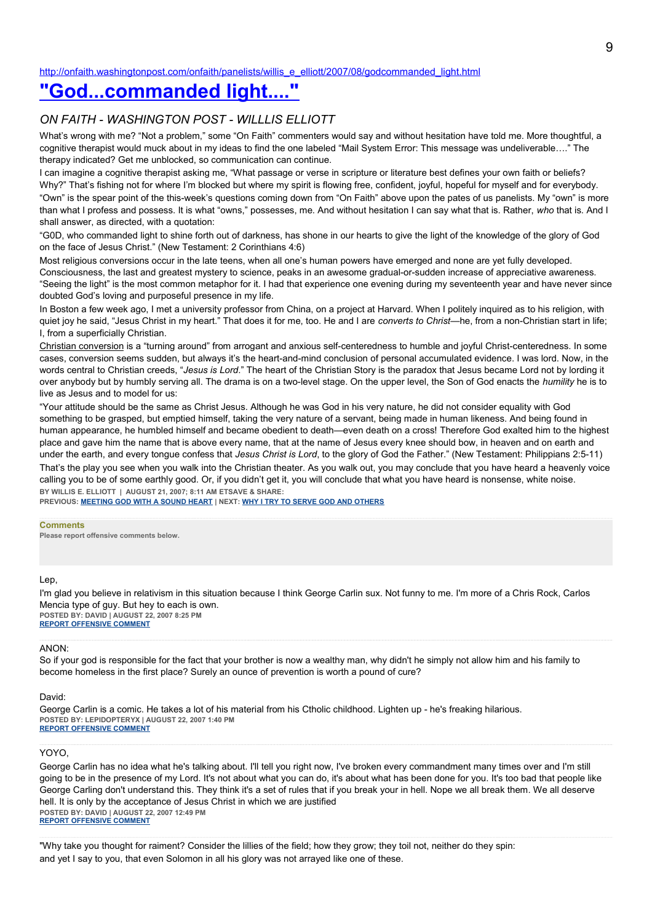[http://onfaith.washingtonpost.com/onfaith/panelists/willis\\_e\\_elliott/2007/08/godcommanded\\_light.html](http://onfaith.washingtonpost.com/onfaith/panelists/willis_e_elliott/2007/08/godcommanded_light.html)

# **["God...commanded light...."](http://onfaith.washingtonpost.com/onfaith/panelists/willis_e_elliott/2007/08/godcommanded_light.html)**

## *ON FAITH - WASHINGTON POST - WILLLIS ELLIOTT*

What's wrong with me? "Not a problem," some "On Faith" commenters would say and without hesitation have told me. More thoughtful, a cognitive therapist would muck about in my ideas to find the one labeled "Mail System Error: This message was undeliverable…." The therapy indicated? Get me unblocked, so communication can continue.

I can imagine a cognitive therapist asking me, "What passage or verse in scripture or literature best defines your own faith or beliefs? Why?" That's fishing not for where I'm blocked but where my spirit is flowing free, confident, joyful, hopeful for myself and for everybody.

"Own" is the spear point of the this-week's questions coming down from "On Faith" above upon the pates of us panelists. My "own" is more than what I profess and possess. It is what "owns," possesses, me. And without hesitation I can say what that is. Rather, *who* that is. And I shall answer, as directed, with a quotation:

"G0D, who commanded light to shine forth out of darkness, has shone in our hearts to give the light of the knowledge of the glory of God on the face of Jesus Christ." (New Testament: 2 Corinthians 4:6)

Most religious conversions occur in the late teens, when all one's human powers have emerged and none are yet fully developed. Consciousness, the last and greatest mystery to science, peaks in an awesome gradual-or-sudden increase of appreciative awareness. "Seeing the light" is the most common metaphor for it. I had that experience one evening during my seventeenth year and have never since doubted God's loving and purposeful presence in my life.

In Boston a few week ago, I met a university professor from China, on a project at Harvard. When I politely inquired as to his religion, with quiet joy he said, "Jesus Christ in my heart." That does it for me, too. He and I are *converts to Christ*—he, from a non-Christian start in life; I, from a superficially Christian.

Christian conversion is a "turning around" from arrogant and anxious self-centeredness to humble and joyful Christ-centeredness. In some cases, conversion seems sudden, but always it's the heart-and-mind conclusion of personal accumulated evidence. I was lord. Now, in the words central to Christian creeds, "*Jesus is Lord*." The heart of the Christian Story is the paradox that Jesus became Lord not by lording it over anybody but by humbly serving all. The drama is on a two-level stage. On the upper level, the Son of God enacts the *humility* he is to live as Jesus and to model for us:

"Your attitude should be the same as Christ Jesus. Although he was God in his very nature, he did not consider equality with God something to be grasped, but emptied himself, taking the very nature of a servant, being made in human likeness. And being found in human appearance, he humbled himself and became obedient to death—even death on a cross! Therefore God exalted him to the highest place and gave him the name that is above every name, that at the name of Jesus every knee should bow, in heaven and on earth and under the earth, and every tongue confess that *Jesus Christ is Lord*, to the glory of God the Father." (New Testament: Philippians 2:5-11)

That's the play you see when you walk into the Christian theater. As you walk out, you may conclude that you have heard a heavenly voice calling you to be of some earthly good. Or, if you didn't get it, you will conclude that what you have heard is nonsense, white noise. **BY WILLIS E. ELLIOTT | AUGUST 21, 2007; 8:11 AM ETSAVE & SHARE:**

**PREVIOUS: [MEETING GOD WITH A SOUND HEART](http://onfaith.washingtonpost.com/onfaith/panelists/hadia_mubarak/2007/08/meeting_god_with_a_sound_heart.html) | NEXT: [WHY I TRY TO SERVE GOD AND OTHERS](http://onfaith.washingtonpost.com/onfaith/panelists/eboo_patel/2007/08/favorite_scripture.html)**

#### **Comments**

**Please report offensive comments below.**

Lep,

I'm glad you believe in relativism in this situation because I think George Carlin sux. Not funny to me. I'm more of a Chris Rock, Carlos Mencia type of guy. But hey to each is own. **POSTED BY: DAVID | AUGUST 22, 2007 8:25 PM [REPORT OFFENSIVE COMMENT](mailto:blogs@washingtonpost.com?subject=On%20Faith%20Panelists%20Blog%20%20%7C%20%20David%20%20%7C%20%20)**

ANON:

So if your god is responsible for the fact that your brother is now a wealthy man, why didn't he simply not allow him and his family to become homeless in the first place? Surely an ounce of prevention is worth a pound of cure?

#### David:

George Carlin is a comic. He takes a lot of his material from his Ctholic childhood. Lighten up - he's freaking hilarious. **POSTED BY: LEPIDOPTERYX | AUGUST 22, 2007 1:40 PM [REPORT OFFENSIVE COMMENT](mailto:blogs@washingtonpost.com?subject=On%20Faith%20Panelists%20Blog%20%20%7C%20%20lepidopteryx%20%20%7C%20%20)**

#### YOYO,

George Carlin has no idea what he's talking about. I'll tell you right now, I've broken every commandment many times over and I'm still going to be in the presence of my Lord. It's not about what you can do, it's about what has been done for you. It's too bad that people like George Carling don't understand this. They think it's a set of rules that if you break your in hell. Nope we all break them. We all deserve hell. It is only by the acceptance of Jesus Christ in which we are justified **POSTED BY: DAVID | AUGUST 22, 2007 12:49 PM [REPORT OFFENSIVE COMMENT](mailto:blogs@washingtonpost.com?subject=On%20Faith%20Panelists%20Blog%20%20%7C%20%20David%20%20%7C%20%20)**

"Why take you thought for raiment? Consider the lillies of the field; how they grow; they toil not, neither do they spin: and yet I say to you, that even Solomon in all his glory was not arrayed like one of these.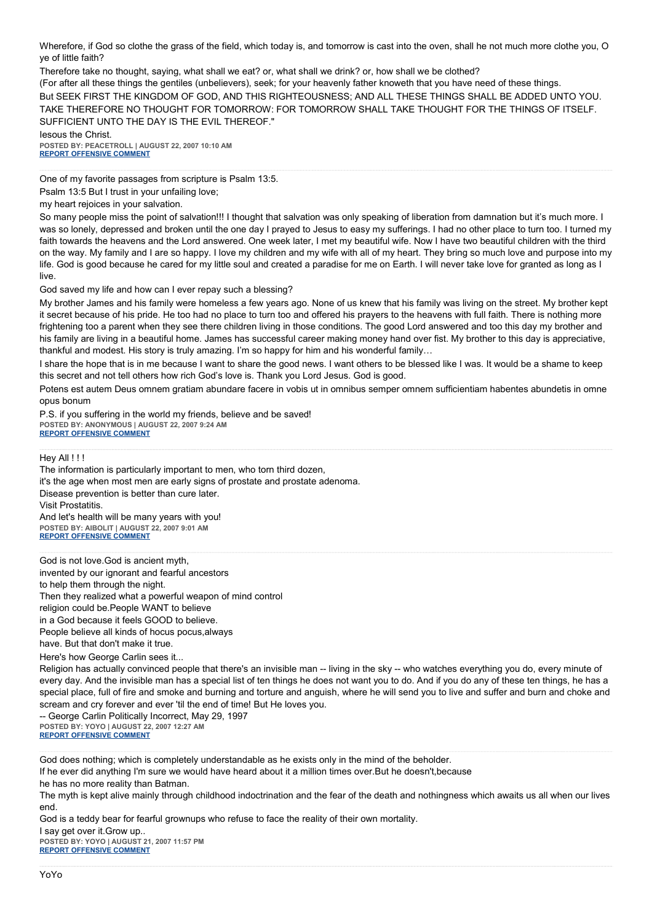Wherefore, if God so clothe the grass of the field, which today is, and tomorrow is cast into the oven, shall he not much more clothe you, O ye of little faith?

Therefore take no thought, saying, what shall we eat? or, what shall we drink? or, how shall we be clothed?

(For after all these things the gentiles (unbelievers), seek; for your heavenly father knoweth that you have need of these things. But SEEK FIRST THE KINGDOM OF GOD, AND THIS RIGHTEOUSNESS; AND ALL THESE THINGS SHALL BE ADDED UNTO YOU. TAKE THEREFORE NO THOUGHT FOR TOMORROW: FOR TOMORROW SHALL TAKE THOUGHT FOR THE THINGS OF ITSELF. SUFFICIENT UNTO THE DAY IS THE EVIL THEREOF."

Iesous the Christ. **POSTED BY: PEACETROLL | AUGUST 22, 2007 10:10 AM [REPORT OFFENSIVE COMMENT](mailto:blogs@washingtonpost.com?subject=On%20Faith%20Panelists%20Blog%20%20%7C%20%20Peacetroll%20%20%7C%20%20)**

One of my favorite passages from scripture is Psalm 13:5. Psalm 13:5 But I trust in your unfailing love; my heart rejoices in your salvation.

So many people miss the point of salvation!!! I thought that salvation was only speaking of liberation from damnation but it's much more. I was so lonely, depressed and broken until the one day I prayed to Jesus to easy my sufferings. I had no other place to turn too. I turned my faith towards the heavens and the Lord answered. One week later, I met my beautiful wife. Now I have two beautiful children with the third on the way. My family and I are so happy. I love my children and my wife with all of my heart. They bring so much love and purpose into my life. God is good because he cared for my little soul and created a paradise for me on Earth. I will never take love for granted as long as I live.

God saved my life and how can I ever repay such a blessing?

My brother James and his family were homeless a few years ago. None of us knew that his family was living on the street. My brother kept it secret because of his pride. He too had no place to turn too and offered his prayers to the heavens with full faith. There is nothing more frightening too a parent when they see there children living in those conditions. The good Lord answered and too this day my brother and his family are living in a beautiful home. James has successful career making money hand over fist. My brother to this day is appreciative, thankful and modest. His story is truly amazing. I'm so happy for him and his wonderful family…

I share the hope that is in me because I want to share the good news. I want others to be blessed like I was. It would be a shame to keep this secret and not tell others how rich God's love is. Thank you Lord Jesus. God is good.

Potens est autem Deus omnem gratiam abundare facere in vobis ut in omnibus semper omnem sufficientiam habentes abundetis in omne opus bonum

P.S. if you suffering in the world my friends, believe and be saved! **POSTED BY: ANONYMOUS | AUGUST 22, 2007 9:24 AM [REPORT OFFENSIVE COMMENT](mailto:blogs@washingtonpost.com?subject=On%20Faith%20Panelists%20Blog%20%20%7C%20%20Anonymous%20%20%7C%20%20)**

Hey All !!!

The information is particularly important to men, who torn third dozen, it's the age when most men are early signs of prostate and prostate adenoma. Disease prevention is better than cure later. Visit Prostatitis. And let's health will be many years with you! **POSTED BY: AIBOLIT | AUGUST 22, 2007 9:01 AM [REPORT OFFENSIVE COMMENT](mailto:blogs@washingtonpost.com?subject=On%20Faith%20Panelists%20Blog%20%20%7C%20%20Aibolit%20%20%7C%20%20)**

God is not love.God is ancient myth, invented by our ignorant and fearful ancestors to help them through the night. Then they realized what a powerful weapon of mind control religion could be.People WANT to believe in a God because it feels GOOD to believe. People believe all kinds of hocus pocus,always have. But that don't make it true.

Here's how George Carlin sees it...

Religion has actually convinced people that there's an invisible man -- living in the sky -- who watches everything you do, every minute of every day. And the invisible man has a special list of ten things he does not want you to do. And if you do any of these ten things, he has a special place, full of fire and smoke and burning and torture and anguish, where he will send you to live and suffer and burn and choke and scream and cry forever and ever 'til the end of time! But He loves you.

-- George Carlin Politically Incorrect, May 29, 1997 **POSTED BY: YOYO | AUGUST 22, 2007 12:27 AM [REPORT OFFENSIVE COMMENT](mailto:blogs@washingtonpost.com?subject=On%20Faith%20Panelists%20Blog%20%20%7C%20%20yoyo%20%20%7C%20%20)**

God does nothing; which is completely understandable as he exists only in the mind of the beholder.

If he ever did anything I'm sure we would have heard about it a million times over.But he doesn't,because

he has no more reality than Batman.

The myth is kept alive mainly through childhood indoctrination and the fear of the death and nothingness which awaits us all when our lives end.

God is a teddy bear for fearful grownups who refuse to face the reality of their own mortality.

I say get over it.Grow up.. **POSTED BY: YOYO | AUGUST 21, 2007 11:57 PM [REPORT OFFENSIVE COMMENT](mailto:blogs@washingtonpost.com?subject=On%20Faith%20Panelists%20Blog%20%20%7C%20%20yoyo%20%20%7C%20%20)**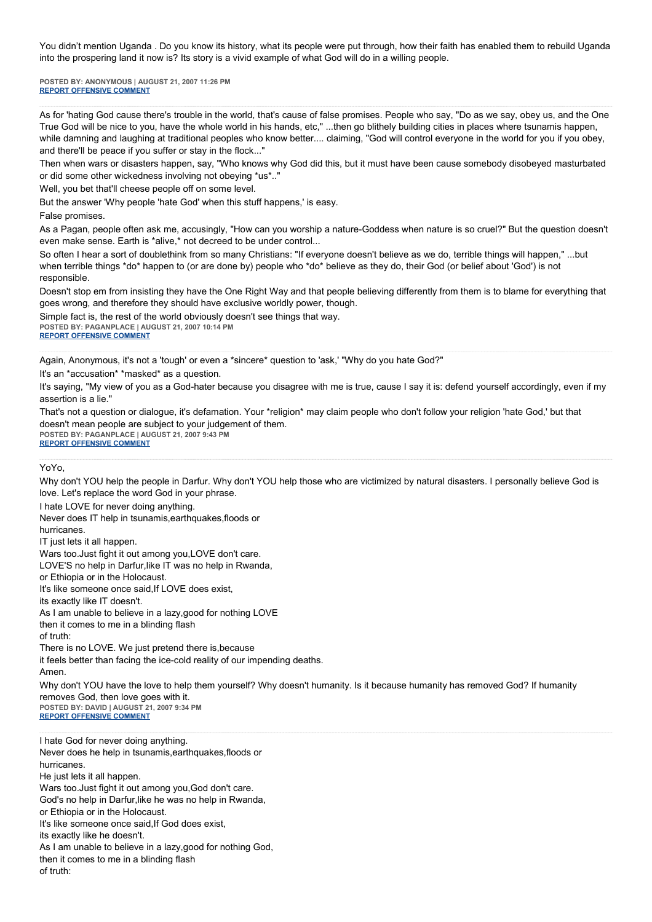You didn't mention Uganda . Do you know its history, what its people were put through, how their faith has enabled them to rebuild Uganda into the prospering land it now is? Its story is a vivid example of what God will do in a willing people.

**POSTED BY: ANONYMOUS | AUGUST 21, 2007 11:26 PM [REPORT OFFENSIVE COMMENT](mailto:blogs@washingtonpost.com?subject=On%20Faith%20Panelists%20Blog%20%20%7C%20%20Anonymous%20%20%7C%20%20)**

As for 'hating God cause there's trouble in the world, that's cause of false promises. People who say, "Do as we say, obey us, and the One True God will be nice to you, have the whole world in his hands, etc," ...then go blithely building cities in places where tsunamis happen, while damning and laughing at traditional peoples who know better.... claiming, "God will control everyone in the world for you if you obey, and there'll be peace if you suffer or stay in the flock..."

Then when wars or disasters happen, say, "Who knows why God did this, but it must have been cause somebody disobeyed masturbated or did some other wickedness involving not obeying \*us\*.."

Well, you bet that'll cheese people off on some level.

But the answer 'Why people 'hate God' when this stuff happens,' is easy.

False promises.

As a Pagan, people often ask me, accusingly, "How can you worship a nature-Goddess when nature is so cruel?" But the question doesn't even make sense. Earth is \*alive,\* not decreed to be under control...

So often I hear a sort of doublethink from so many Christians: "If everyone doesn't believe as we do, terrible things will happen," ...but when terrible things \*do\* happen to (or are done by) people who \*do\* believe as they do, their God (or belief about 'God') is not responsible.

Doesn't stop em from insisting they have the One Right Way and that people believing differently from them is to blame for everything that goes wrong, and therefore they should have exclusive worldly power, though.

Simple fact is, the rest of the world obviously doesn't see things that way. **POSTED BY: PAGANPLACE | AUGUST 21, 2007 10:14 PM [REPORT OFFENSIVE COMMENT](mailto:blogs@washingtonpost.com?subject=On%20Faith%20Panelists%20Blog%20%20%7C%20%20Paganplace%20%20%7C%20%20)**

Again, Anonymous, it's not a 'tough' or even a \*sincere\* question to 'ask,' "Why do you hate God?"

It's an \*accusation\* \*masked\* as a question.

It's saying, "My view of you as a God-hater because you disagree with me is true, cause I say it is: defend yourself accordingly, even if my assertion is a lie."

That's not a question or dialogue, it's defamation. Your \*religion\* may claim people who don't follow your religion 'hate God,' but that doesn't mean people are subject to your judgement of them. **POSTED BY: PAGANPLACE | AUGUST 21, 2007 9:43 PM**

**[REPORT OFFENSIVE COMMENT](mailto:blogs@washingtonpost.com?subject=On%20Faith%20Panelists%20Blog%20%20%7C%20%20Paganplace%20%20%7C%20%20)**

I hate LOVE for never doing anything.

YoYo,

Why don't YOU help the people in Darfur. Why don't YOU help those who are victimized by natural disasters. I personally believe God is love. Let's replace the word God in your phrase.

Never does IT help in tsunamis,earthquakes,floods or hurricanes. IT just lets it all happen. Wars too.Just fight it out among you,LOVE don't care. LOVE'S no help in Darfur, like IT was no help in Rwanda, or Ethiopia or in the Holocaust. It's like someone once said,If LOVE does exist, its exactly like IT doesn't. As I am unable to believe in a lazy,good for nothing LOVE then it comes to me in a blinding flash of truth: There is no LOVE. We just pretend there is,because it feels better than facing the ice-cold reality of our impending deaths. Amen. Why don't YOU have the love to help them yourself? Why doesn't humanity. Is it because humanity has removed God? If humanity removes God, then love goes with it. **POSTED BY: DAVID | AUGUST 21, 2007 9:34 PM [REPORT OFFENSIVE COMMENT](mailto:blogs@washingtonpost.com?subject=On%20Faith%20Panelists%20Blog%20%20%7C%20%20David%20%20%7C%20%20)** I hate God for never doing anything. Never does he help in tsunamis,earthquakes,floods or hurricanes. He just lets it all happen. Wars too.Just fight it out among you,God don't care. God's no help in Darfur,like he was no help in Rwanda, or Ethiopia or in the Holocaust. It's like someone once said,If God does exist, its exactly like he doesn't. As I am unable to believe in a lazy,good for nothing God, then it comes to me in a blinding flash of truth: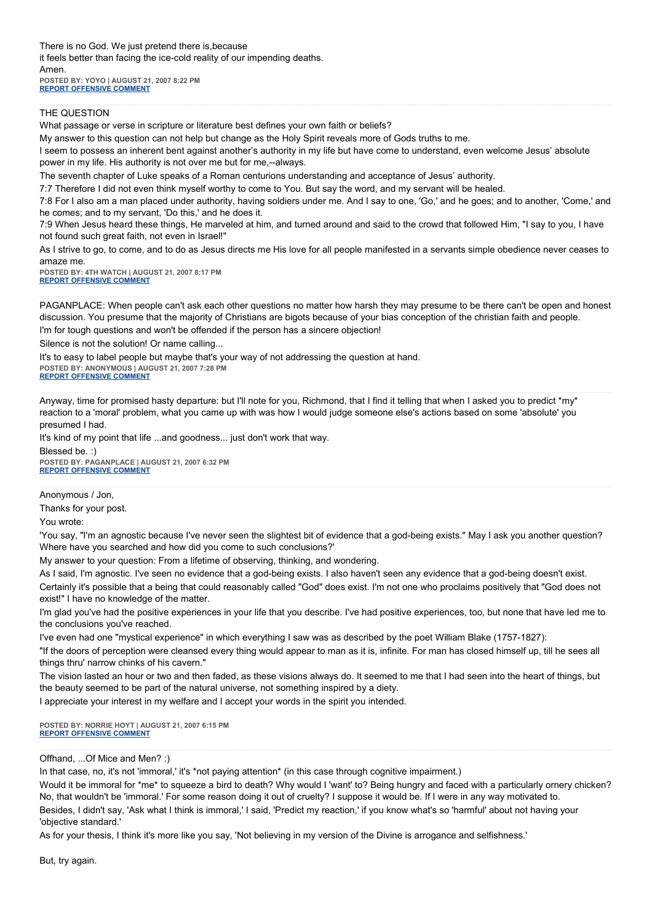There is no God. We just pretend there is,because it feels better than facing the ice-cold reality of our impending deaths. Amen. **POSTED BY: YOYO | AUGUST 21, 2007 8:22 PM [REPORT OFFENSIVE COMMENT](mailto:blogs@washingtonpost.com?subject=On%20Faith%20Panelists%20Blog%20%20%7C%20%20yoyo%20%20%7C%20%20)**

#### THE QUESTION

What passage or verse in scripture or literature best defines your own faith or beliefs?

My answer to this question can not help but change as the Holy Spirit reveals more of Gods truths to me.

I seem to possess an inherent bent against another's authority in my life but have come to understand, even welcome Jesus' absolute power in my life. His authority is not over me but for me,--always.

The seventh chapter of Luke speaks of a Roman centurions understanding and acceptance of Jesus' authority.

7:7 Therefore I did not even think myself worthy to come to You. But say the word, and my servant will be healed.

7:8 For I also am a man placed under authority, having soldiers under me. And I say to one, 'Go,' and he goes; and to another, 'Come,' and he comes; and to my servant, 'Do this,' and he does it.

7:9 When Jesus heard these things, He marveled at him, and turned around and said to the crowd that followed Him, "I say to you, I have not found such great faith, not even in Israel!"

As I strive to go, to come, and to do as Jesus directs me His love for all people manifested in a servants simple obedience never ceases to amaze me.

**POSTED BY: 4TH WATCH | AUGUST 21, 2007 8:17 PM [REPORT OFFENSIVE COMMENT](mailto:blogs@washingtonpost.com?subject=On%20Faith%20Panelists%20Blog%20%20%7C%20%204th%20watch%20%20%7C%20%20)**

PAGANPLACE: When people can't ask each other questions no matter how harsh they may presume to be there can't be open and honest discussion. You presume that the majority of Christians are bigots because of your bias conception of the christian faith and people.

I'm for tough questions and won't be offended if the person has a sincere objection!

Silence is not the solution! Or name calling...

It's to easy to label people but maybe that's your way of not addressing the question at hand. **POSTED BY: ANONYMOUS | AUGUST 21, 2007 7:28 PM**

**[REPORT OFFENSIVE COMMENT](mailto:blogs@washingtonpost.com?subject=On%20Faith%20Panelists%20Blog%20%20%7C%20%20Anonymous%20%20%7C%20%20)**

Anyway, time for promised hasty departure: but I'll note for you, Richmond, that I find it telling that when I asked you to predict \*my\* reaction to a 'moral' problem, what you came up with was how I would judge someone else's actions based on some 'absolute' you presumed I had.

It's kind of my point that life ...and goodness... just don't work that way.

Blessed be. :) **POSTED BY: PAGANPLACE | AUGUST 21, 2007 6:32 PM [REPORT OFFENSIVE COMMENT](mailto:blogs@washingtonpost.com?subject=On%20Faith%20Panelists%20Blog%20%20%7C%20%20Paganplace%20%20%7C%20%20)**

Anonymous / Jon,

Thanks for your post.

You wrote:

'You say, "I'm an agnostic because I've never seen the slightest bit of evidence that a god-being exists." May I ask you another question? Where have you searched and how did you come to such conclusions?'

My answer to your question: From a lifetime of observing, thinking, and wondering.

As I said, I'm agnostic. I've seen no evidence that a god-being exists. I also haven't seen any evidence that a god-being doesn't exist. Certainly it's possible that a being that could reasonably called "God" does exist. I'm not one who proclaims positively that "God does not exist!" I have no knowledge of the matter.

I'm glad you've had the positive experiences in your life that you describe. I've had positive experiences, too, but none that have led me to the conclusions you've reached.

I've even had one "mystical experience" in which everything I saw was as described by the poet William Blake (1757-1827):

"If the doors of perception were cleansed every thing would appear to man as it is, infinite. For man has closed himself up, till he sees all things thru' narrow chinks of his cavern."

The vision lasted an hour or two and then faded, as these visions always do. It seemed to me that I had seen into the heart of things, but the beauty seemed to be part of the natural universe, not something inspired by a diety.

I appreciate your interest in my welfare and I accept your words in the spirit you intended.

**POSTED BY: NORRIE HOYT | AUGUST 21, 2007 6:15 PM [REPORT OFFENSIVE COMMENT](mailto:blogs@washingtonpost.com?subject=On%20Faith%20Panelists%20Blog%20%20%7C%20%20Norrie%20Hoyt%20%20%7C%20%20)**

#### Offhand, ...Of Mice and Men? :)

In that case, no, it's not 'immoral,' it's \*not paying attention\* (in this case through cognitive impairment.)

Would it be immoral for \*me\* to squeeze a bird to death? Why would I 'want' to? Being hungry and faced with a particularly ornery chicken? No, that wouldn't be 'immoral.' For some reason doing it out of cruelty? I suppose it would be. If I were in any way motivated to. Besides, I didn't say, 'Ask what I think is immoral,' I said, 'Predict my reaction,' if you know what's so 'harmful' about not having your 'objective standard.'

As for your thesis, I think it's more like you say, 'Not believing in my version of the Divine is arrogance and selfishness.'

But, try again.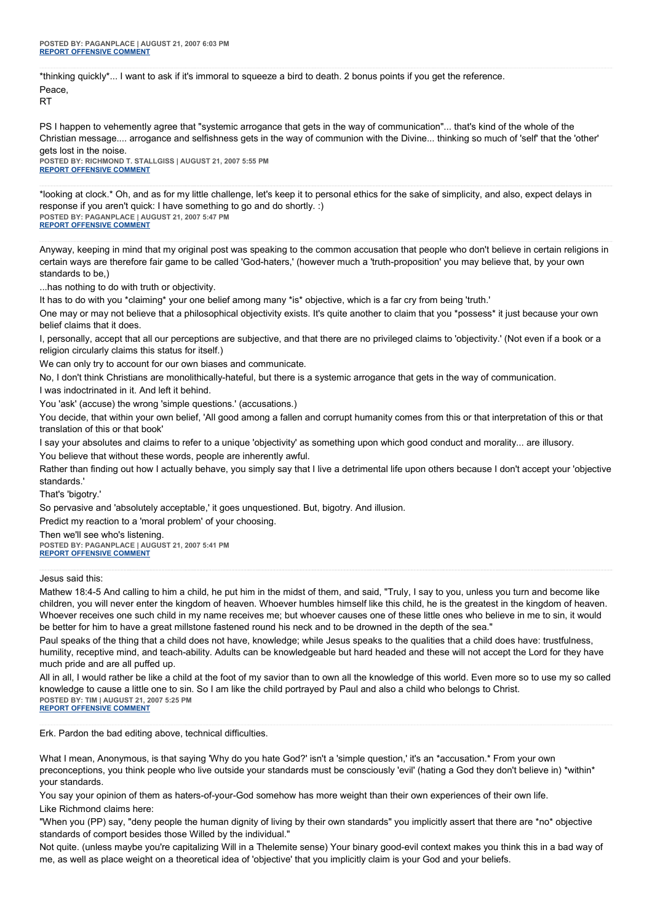\*thinking quickly\*... I want to ask if it's immoral to squeeze a bird to death. 2 bonus points if you get the reference. Peace,

RT

PS I happen to vehemently agree that "systemic arrogance that gets in the way of communication"... that's kind of the whole of the Christian message.... arrogance and selfishness gets in the way of communion with the Divine... thinking so much of 'self' that the 'other' gets lost in the noise.

**POSTED BY: RICHMOND T. STALLGISS | AUGUST 21, 2007 5:55 PM [REPORT OFFENSIVE COMMENT](mailto:blogs@washingtonpost.com?subject=On%20Faith%20Panelists%20Blog%20%20%7C%20%20Richmond%20T.%20Stallgiss%20%20%7C%20%20)**

\*looking at clock.\* Oh, and as for my little challenge, let's keep it to personal ethics for the sake of simplicity, and also, expect delays in response if you aren't quick: I have something to go and do shortly. :) **POSTED BY: PAGANPLACE | AUGUST 21, 2007 5:47 PM [REPORT OFFENSIVE COMMENT](mailto:blogs@washingtonpost.com?subject=On%20Faith%20Panelists%20Blog%20%20%7C%20%20Paganplace%20%20%7C%20%20)**

Anyway, keeping in mind that my original post was speaking to the common accusation that people who don't believe in certain religions in certain ways are therefore fair game to be called 'God-haters,' (however much a 'truth-proposition' you may believe that, by your own standards to be,)

...has nothing to do with truth or objectivity.

It has to do with you \*claiming\* your one belief among many \*is\* objective, which is a far cry from being 'truth.'

One may or may not believe that a philosophical objectivity exists. It's quite another to claim that you \*possess\* it just because your own belief claims that it does.

I, personally, accept that all our perceptions are subjective, and that there are no privileged claims to 'objectivity.' (Not even if a book or a religion circularly claims this status for itself.)

We can only try to account for our own biases and communicate.

No, I don't think Christians are monolithically-hateful, but there is a systemic arrogance that gets in the way of communication.

I was indoctrinated in it. And left it behind.

You 'ask' (accuse) the wrong 'simple questions.' (accusations.)

You decide, that within your own belief, 'All good among a fallen and corrupt humanity comes from this or that interpretation of this or that translation of this or that book'

I say your absolutes and claims to refer to a unique 'objectivity' as something upon which good conduct and morality... are illusory.

You believe that without these words, people are inherently awful.

Rather than finding out how I actually behave, you simply say that I live a detrimental life upon others because I don't accept your 'objective standards.'

That's 'bigotry.'

So pervasive and 'absolutely acceptable,' it goes unquestioned. But, bigotry. And illusion.

Predict my reaction to a 'moral problem' of your choosing.

Then we'll see who's listening.

**POSTED BY: PAGANPLACE | AUGUST 21, 2007 5:41 PM [REPORT OFFENSIVE COMMENT](mailto:blogs@washingtonpost.com?subject=On%20Faith%20Panelists%20Blog%20%20%7C%20%20Paganplace%20%20%7C%20%20)**

#### Jesus said this:

Mathew 18:4-5 And calling to him a child, he put him in the midst of them, and said, "Truly, I say to you, unless you turn and become like children, you will never enter the kingdom of heaven. Whoever humbles himself like this child, he is the greatest in the kingdom of heaven. Whoever receives one such child in my name receives me; but whoever causes one of these little ones who believe in me to sin, it would be better for him to have a great millstone fastened round his neck and to be drowned in the depth of the sea."

Paul speaks of the thing that a child does not have, knowledge; while Jesus speaks to the qualities that a child does have: trustfulness, humility, receptive mind, and teach-ability. Adults can be knowledgeable but hard headed and these will not accept the Lord for they have much pride and are all puffed up.

All in all, I would rather be like a child at the foot of my savior than to own all the knowledge of this world. Even more so to use my so called knowledge to cause a little one to sin. So I am like the child portrayed by Paul and also a child who belongs to Christ. **POSTED BY: TIM | AUGUST 21, 2007 5:25 PM [REPORT OFFENSIVE COMMENT](mailto:blogs@washingtonpost.com?subject=On%20Faith%20Panelists%20Blog%20%20%7C%20%20Tim%20%20%7C%20%20)**

Erk. Pardon the bad editing above, technical difficulties.

What I mean, Anonymous, is that saying 'Why do you hate God?' isn't a 'simple question,' it's an \*accusation.\* From your own preconceptions, you think people who live outside your standards must be consciously 'evil' (hating a God they don't believe in) \*within\* your standards.

You say your opinion of them as haters-of-your-God somehow has more weight than their own experiences of their own life. Like Richmond claims here:

"When you (PP) say, "deny people the human dignity of living by their own standards" you implicitly assert that there are \*no\* objective standards of comport besides those Willed by the individual."

Not quite. (unless maybe you're capitalizing Will in a Thelemite sense) Your binary good-evil context makes you think this in a bad way of me, as well as place weight on a theoretical idea of 'objective' that you implicitly claim is your God and your beliefs.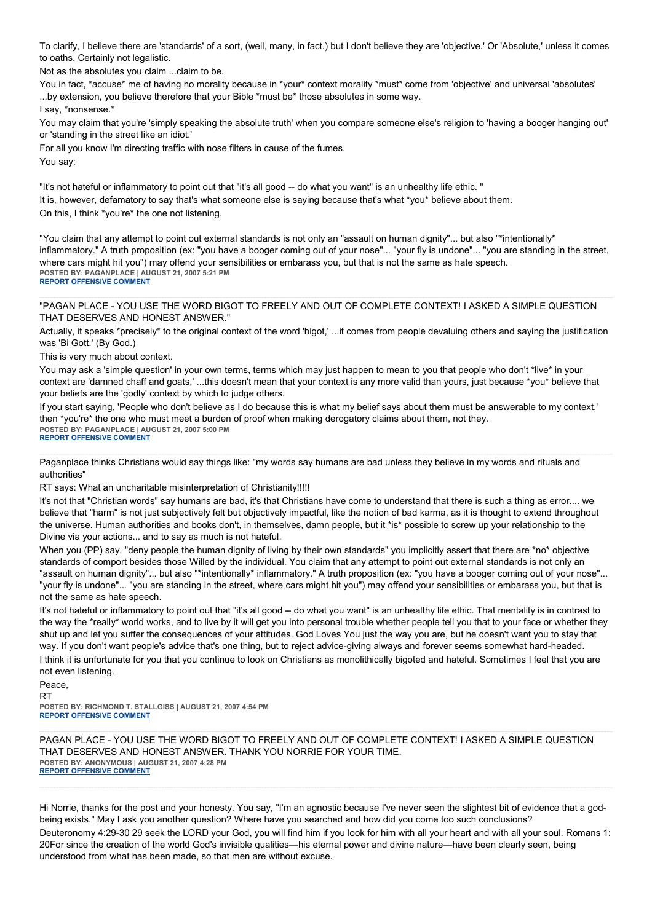To clarify, I believe there are 'standards' of a sort, (well, many, in fact.) but I don't believe they are 'objective.' Or 'Absolute,' unless it comes to oaths. Certainly not legalistic.

Not as the absolutes you claim ...claim to be.

You in fact, \*accuse\* me of having no morality because in \*your\* context morality \*must\* come from 'objective' and universal 'absolutes' ...by extension, you believe therefore that your Bible \*must be\* those absolutes in some way.

I say, \*nonsense.\*

You may claim that you're 'simply speaking the absolute truth' when you compare someone else's religion to 'having a booger hanging out' or 'standing in the street like an idiot.'

For all you know I'm directing traffic with nose filters in cause of the fumes.

You say:

"It's not hateful or inflammatory to point out that "it's all good -- do what you want" is an unhealthy life ethic. " It is, however, defamatory to say that's what someone else is saying because that's what \*you\* believe about them. On this, I think \*you're\* the one not listening.

"You claim that any attempt to point out external standards is not only an "assault on human dignity"... but also "\*intentionally\* inflammatory." A truth proposition (ex: "you have a booger coming out of your nose"... "your fly is undone"... "you are standing in the street, where cars might hit you") may offend your sensibilities or embarass you, but that is not the same as hate speech. **POSTED BY: PAGANPLACE | AUGUST 21, 2007 5:21 PM [REPORT OFFENSIVE COMMENT](mailto:blogs@washingtonpost.com?subject=On%20Faith%20Panelists%20Blog%20%20%7C%20%20Paganplace%20%20%7C%20%20)**

"PAGAN PLACE - YOU USE THE WORD BIGOT TO FREELY AND OUT OF COMPLETE CONTEXT! I ASKED A SIMPLE QUESTION THAT DESERVES AND HONEST ANSWER."

Actually, it speaks \*precisely\* to the original context of the word 'bigot,' ...it comes from people devaluing others and saying the justification was 'Bi Gott.' (By God.)

This is very much about context.

You may ask a 'simple question' in your own terms, terms which may just happen to mean to you that people who don't \*live\* in your context are 'damned chaff and goats,' ...this doesn't mean that your context is any more valid than yours, just because \*you\* believe that your beliefs are the 'godly' context by which to judge others.

If you start saying, 'People who don't believe as I do because this is what my belief says about them must be answerable to my context,' then \*you're\* the one who must meet a burden of proof when making derogatory claims about them, not they. **POSTED BY: PAGANPLACE | AUGUST 21, 2007 5:00 PM [REPORT OFFENSIVE COMMENT](mailto:blogs@washingtonpost.com?subject=On%20Faith%20Panelists%20Blog%20%20%7C%20%20Paganplace%20%20%7C%20%20)**

Paganplace thinks Christians would say things like: "my words say humans are bad unless they believe in my words and rituals and authorities"

RT says: What an uncharitable misinterpretation of Christianity!!!!!

It's not that "Christian words" say humans are bad, it's that Christians have come to understand that there is such a thing as error.... we believe that "harm" is not just subjectively felt but objectively impactful, like the notion of bad karma, as it is thought to extend throughout the universe. Human authorities and books don't, in themselves, damn people, but it \*is\* possible to screw up your relationship to the Divine via your actions... and to say as much is not hateful.

When you (PP) say, "deny people the human dignity of living by their own standards" you implicitly assert that there are \*no\* objective standards of comport besides those Willed by the individual. You claim that any attempt to point out external standards is not only an "assault on human dignity"... but also "\*intentionally\* inflammatory." A truth proposition (ex: "you have a booger coming out of your nose"... "your fly is undone"... "you are standing in the street, where cars might hit you") may offend your sensibilities or embarass you, but that is not the same as hate speech.

It's not hateful or inflammatory to point out that "it's all good -- do what you want" is an unhealthy life ethic. That mentality is in contrast to the way the \*really\* world works, and to live by it will get you into personal trouble whether people tell you that to your face or whether they shut up and let you suffer the consequences of your attitudes. God Loves You just the way you are, but he doesn't want you to stay that way. If you don't want people's advice that's one thing, but to reject advice-giving always and forever seems somewhat hard-headed. I think it is unfortunate for you that you continue to look on Christians as monolithically bigoted and hateful. Sometimes I feel that you are not even listening.

Peace,

RT

**POSTED BY: RICHMOND T. STALLGISS | AUGUST 21, 2007 4:54 PM [REPORT OFFENSIVE COMMENT](mailto:blogs@washingtonpost.com?subject=On%20Faith%20Panelists%20Blog%20%20%7C%20%20Richmond%20T.%20Stallgiss%20%20%7C%20%20)**

PAGAN PLACE - YOU USE THE WORD BIGOT TO FREELY AND OUT OF COMPLETE CONTEXT! I ASKED A SIMPLE QUESTION THAT DESERVES AND HONEST ANSWER. THANK YOU NORRIE FOR YOUR TIME. **POSTED BY: ANONYMOUS | AUGUST 21, 2007 4:28 PM [REPORT OFFENSIVE COMMENT](mailto:blogs@washingtonpost.com?subject=On%20Faith%20Panelists%20Blog%20%20%7C%20%20Anonymous%20%20%7C%20%20)**

Hi Norrie, thanks for the post and your honesty. You say, "I'm an agnostic because I've never seen the slightest bit of evidence that a godbeing exists." May I ask you another question? Where have you searched and how did you come too such conclusions? Deuteronomy 4:29-30 29 seek the LORD your God, you will find him if you look for him with all your heart and with all your soul. Romans 1: 20For since the creation of the world God's invisible qualities—his eternal power and divine nature—have been clearly seen, being understood from what has been made, so that men are without excuse.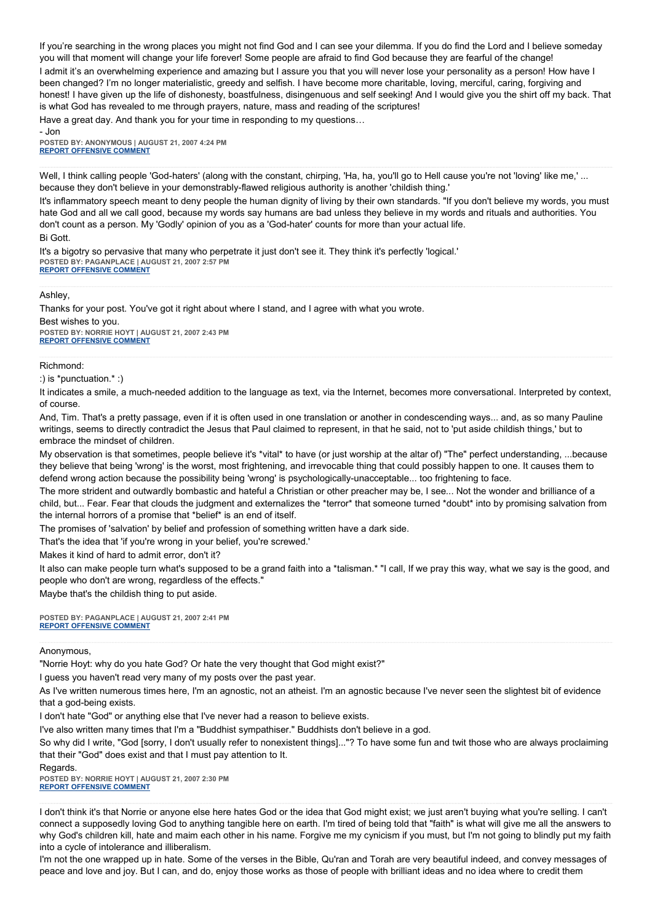If you're searching in the wrong places you might not find God and I can see your dilemma. If you do find the Lord and I believe someday you will that moment will change your life forever! Some people are afraid to find God because they are fearful of the change!

I admit it's an overwhelming experience and amazing but I assure you that you will never lose your personality as a person! How have I been changed? I'm no longer materialistic, greedy and selfish. I have become more charitable, loving, merciful, caring, forgiving and honest! I have given up the life of dishonesty, boastfulness, disingenuous and self seeking! And I would give you the shirt off my back. That is what God has revealed to me through prayers, nature, mass and reading of the scriptures!

Have a great day. And thank you for your time in responding to my questions…

- Jon **POSTED BY: ANONYMOUS | AUGUST 21, 2007 4:24 PM [REPORT OFFENSIVE COMMENT](mailto:blogs@washingtonpost.com?subject=On%20Faith%20Panelists%20Blog%20%20%7C%20%20Anonymous%20%20%7C%20%20)**

Well, I think calling people 'God-haters' (along with the constant, chirping, 'Ha, ha, you'll go to Hell cause you're not 'loving' like me,' ... because they don't believe in your demonstrably-flawed religious authority is another 'childish thing.'

It's inflammatory speech meant to deny people the human dignity of living by their own standards. "If you don't believe my words, you must hate God and all we call good, because my words say humans are bad unless they believe in my words and rituals and authorities. You don't count as a person. My 'Godly' opinion of you as a 'God-hater' counts for more than your actual life.

Bi Gott.

It's a bigotry so pervasive that many who perpetrate it just don't see it. They think it's perfectly 'logical.' **POSTED BY: PAGANPLACE | AUGUST 21, 2007 2:57 PM [REPORT OFFENSIVE COMMENT](mailto:blogs@washingtonpost.com?subject=On%20Faith%20Panelists%20Blog%20%20%7C%20%20Paganplace%20%20%7C%20%20)**

Ashley,

Thanks for your post. You've got it right about where I stand, and I agree with what you wrote.

Best wishes to you. **POSTED BY: NORRIE HOYT | AUGUST 21, 2007 2:43 PM [REPORT OFFENSIVE COMMENT](mailto:blogs@washingtonpost.com?subject=On%20Faith%20Panelists%20Blog%20%20%7C%20%20Norrie%20Hoyt%20%20%7C%20%20)**

Richmond:

:) is \*punctuation.\* :)

It indicates a smile, a much-needed addition to the language as text, via the Internet, becomes more conversational. Interpreted by context, of course.

And, Tim. That's a pretty passage, even if it is often used in one translation or another in condescending ways... and, as so many Pauline writings, seems to directly contradict the Jesus that Paul claimed to represent, in that he said, not to 'put aside childish things,' but to embrace the mindset of children.

My observation is that sometimes, people believe it's \*vital\* to have (or just worship at the altar of) "The" perfect understanding, ...because they believe that being 'wrong' is the worst, most frightening, and irrevocable thing that could possibly happen to one. It causes them to defend wrong action because the possibility being 'wrong' is psychologically-unacceptable... too frightening to face.

The more strident and outwardly bombastic and hateful a Christian or other preacher may be, I see... Not the wonder and brilliance of a child, but... Fear. Fear that clouds the judgment and externalizes the \*terror\* that someone turned \*doubt\* into by promising salvation from the internal horrors of a promise that \*belief\* is an end of itself.

The promises of 'salvation' by belief and profession of something written have a dark side.

That's the idea that 'if you're wrong in your belief, you're screwed.'

Makes it kind of hard to admit error, don't it?

It also can make people turn what's supposed to be a grand faith into a \*talisman.\* "I call, If we pray this way, what we say is the good, and people who don't are wrong, regardless of the effects."

Maybe that's the childish thing to put aside.

**POSTED BY: PAGANPLACE | AUGUST 21, 2007 2:41 PM [REPORT OFFENSIVE COMMENT](mailto:blogs@washingtonpost.com?subject=On%20Faith%20Panelists%20Blog%20%20%7C%20%20Paganplace%20%20%7C%20%20)**

Anonymous,

"Norrie Hoyt: why do you hate God? Or hate the very thought that God might exist?"

I guess you haven't read very many of my posts over the past year.

As I've written numerous times here, I'm an agnostic, not an atheist. I'm an agnostic because I've never seen the slightest bit of evidence that a god-being exists.

I don't hate "God" or anything else that I've never had a reason to believe exists.

I've also written many times that I'm a "Buddhist sympathiser." Buddhists don't believe in a god.

So why did I write, "God [sorry, I don't usually refer to nonexistent things]..."? To have some fun and twit those who are always proclaiming that their "God" does exist and that I must pay attention to It.

Regards.

**POSTED BY: NORRIE HOYT | AUGUST 21, 2007 2:30 PM [REPORT OFFENSIVE COMMENT](mailto:blogs@washingtonpost.com?subject=On%20Faith%20Panelists%20Blog%20%20%7C%20%20Norrie%20Hoyt%20%20%7C%20%20)**

I don't think it's that Norrie or anyone else here hates God or the idea that God might exist; we just aren't buying what you're selling. I can't connect a supposedly loving God to anything tangible here on earth. I'm tired of being told that "faith" is what will give me all the answers to why God's children kill, hate and maim each other in his name. Forgive me my cynicism if you must, but I'm not going to blindly put my faith into a cycle of intolerance and illiberalism.

I'm not the one wrapped up in hate. Some of the verses in the Bible, Qu'ran and Torah are very beautiful indeed, and convey messages of peace and love and joy. But I can, and do, enjoy those works as those of people with brilliant ideas and no idea where to credit them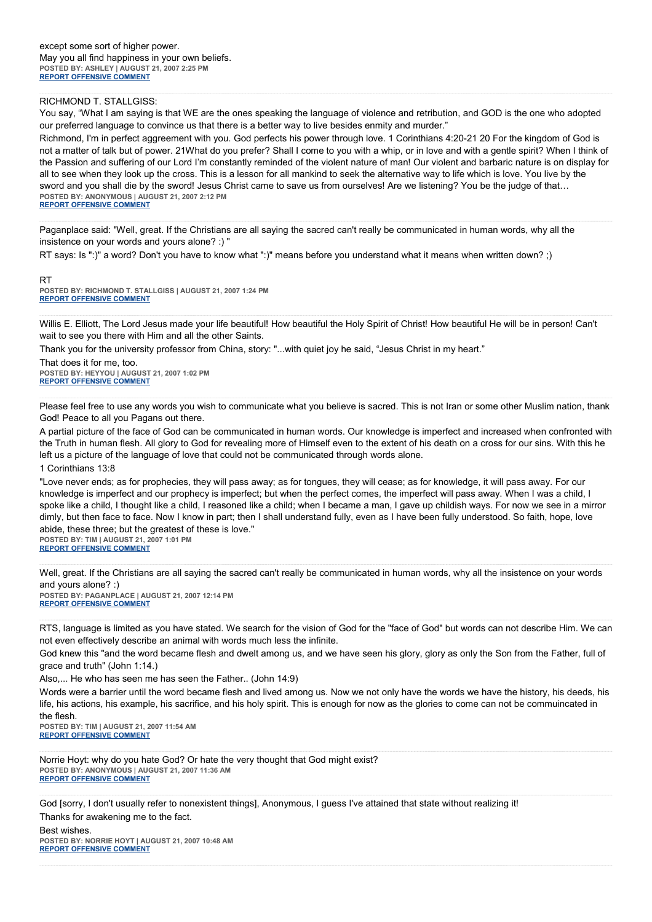#### RICHMOND T. STALLGISS:

You say, "What I am saying is that WE are the ones speaking the language of violence and retribution, and GOD is the one who adopted our preferred language to convince us that there is a better way to live besides enmity and murder."

Richmond, I'm in perfect aggreement with you. God perfects his power through love. 1 Corinthians 4:20-21 20 For the kingdom of God is not a matter of talk but of power. 21What do you prefer? Shall I come to you with a whip, or in love and with a gentle spirit? When I think of the Passion and suffering of our Lord I'm constantly reminded of the violent nature of man! Our violent and barbaric nature is on display for all to see when they look up the cross. This is a lesson for all mankind to seek the alternative way to life which is love. You live by the sword and you shall die by the sword! Jesus Christ came to save us from ourselves! Are we listening? You be the judge of that… **POSTED BY: ANONYMOUS | AUGUST 21, 2007 2:12 PM [REPORT OFFENSIVE COMMENT](mailto:blogs@washingtonpost.com?subject=On%20Faith%20Panelists%20Blog%20%20%7C%20%20Anonymous%20%20%7C%20%20)**

Paganplace said: "Well, great. If the Christians are all saying the sacred can't really be communicated in human words, why all the insistence on your words and yours alone? :) "

RT says: Is ":)" a word? Don't you have to know what ":)" means before you understand what it means when written down? ;)

RT **POSTED BY: RICHMOND T. STALLGISS | AUGUST 21, 2007 1:24 PM [REPORT OFFENSIVE COMMENT](mailto:blogs@washingtonpost.com?subject=On%20Faith%20Panelists%20Blog%20%20%7C%20%20Richmond%20T.%20Stallgiss%20%20%7C%20%20)**

Willis E. Elliott, The Lord Jesus made your life beautiful! How beautiful the Holy Spirit of Christ! How beautiful He will be in person! Can't wait to see you there with Him and all the other Saints.

Thank you for the university professor from China, story: "...with quiet joy he said, "Jesus Christ in my heart."

That does it for me, too. **POSTED BY: HEYYOU | AUGUST 21, 2007 1:02 PM [REPORT OFFENSIVE COMMENT](mailto:blogs@washingtonpost.com?subject=On%20Faith%20Panelists%20Blog%20%20%7C%20%20HeyYOU%20%20%7C%20%20)**

Please feel free to use any words you wish to communicate what you believe is sacred. This is not Iran or some other Muslim nation, thank God! Peace to all you Pagans out there.

A partial picture of the face of God can be communicated in human words. Our knowledge is imperfect and increased when confronted with the Truth in human flesh. All glory to God for revealing more of Himself even to the extent of his death on a cross for our sins. With this he left us a picture of the language of love that could not be communicated through words alone.

1 Corinthians 13:8

"Love never ends; as for prophecies, they will pass away; as for tongues, they will cease; as for knowledge, it will pass away. For our knowledge is imperfect and our prophecy is imperfect; but when the perfect comes, the imperfect will pass away. When I was a child, I spoke like a child, I thought like a child, I reasoned like a child; when I became a man, I gave up childish ways. For now we see in a mirror dimly, but then face to face. Now I know in part; then I shall understand fully, even as I have been fully understood. So faith, hope, love abide, these three; but the greatest of these is love." **POSTED BY: TIM | AUGUST 21, 2007 1:01 PM**

**[REPORT OFFENSIVE COMMENT](mailto:blogs@washingtonpost.com?subject=On%20Faith%20Panelists%20Blog%20%20%7C%20%20Tim%20%20%7C%20%20)**

Well, great. If the Christians are all saying the sacred can't really be communicated in human words, why all the insistence on your words and yours alone? :)

**POSTED BY: PAGANPLACE | AUGUST 21, 2007 12:14 PM [REPORT OFFENSIVE COMMENT](mailto:blogs@washingtonpost.com?subject=On%20Faith%20Panelists%20Blog%20%20%7C%20%20Paganplace%20%20%7C%20%20)**

RTS, language is limited as you have stated. We search for the vision of God for the "face of God" but words can not describe Him. We can not even effectively describe an animal with words much less the infinite.

God knew this "and the word became flesh and dwelt among us, and we have seen his glory, glory as only the Son from the Father, full of grace and truth" (John 1:14.)

Also,... He who has seen me has seen the Father.. (John 14:9)

Words were a barrier until the word became flesh and lived among us. Now we not only have the words we have the history, his deeds, his life, his actions, his example, his sacrifice, and his holy spirit. This is enough for now as the glories to come can not be commuincated in the flesh.

**POSTED BY: TIM | AUGUST 21, 2007 11:54 AM [REPORT OFFENSIVE COMMENT](mailto:blogs@washingtonpost.com?subject=On%20Faith%20Panelists%20Blog%20%20%7C%20%20Tim%20%20%7C%20%20)**

Norrie Hoyt: why do you hate God? Or hate the very thought that God might exist? **POSTED BY: ANONYMOUS | AUGUST 21, 2007 11:36 AM [REPORT OFFENSIVE COMMENT](mailto:blogs@washingtonpost.com?subject=On%20Faith%20Panelists%20Blog%20%20%7C%20%20Anonymous%20%20%7C%20%20)**

God [sorry, I don't usually refer to nonexistent things], Anonymous, I guess I've attained that state without realizing it! Thanks for awakening me to the fact.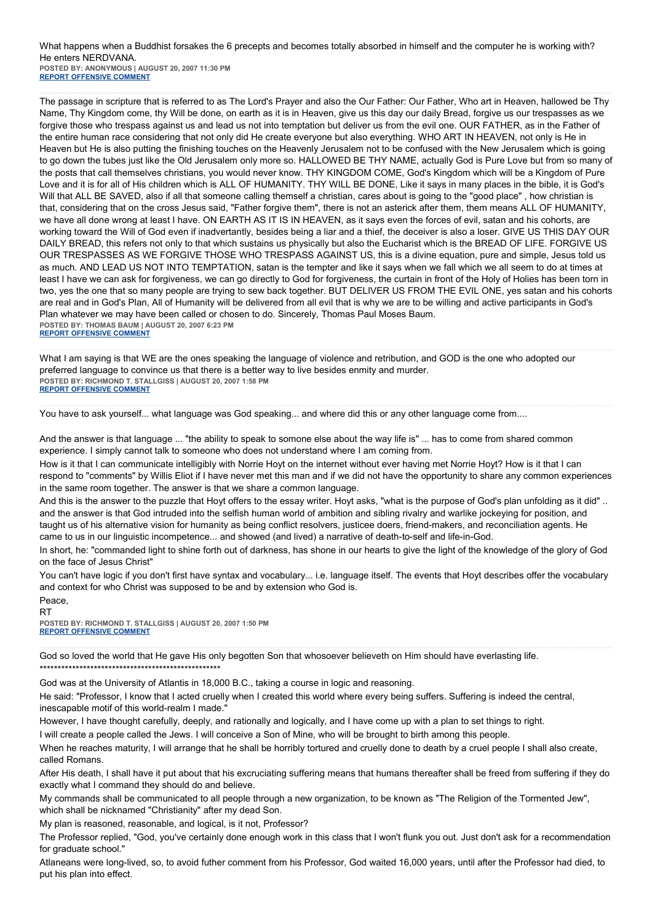### What happens when a Buddhist forsakes the 6 precepts and becomes totally absorbed in himself and the computer he is working with? He enters NERDVANA.

**POSTED BY: ANONYMOUS | AUGUST 20, 2007 11:30 PM [REPORT OFFENSIVE COMMENT](mailto:blogs@washingtonpost.com?subject=On%20Faith%20Panelists%20Blog%20%20%7C%20%20Anonymous%20%20%7C%20%20)**

The passage in scripture that is referred to as The Lord's Prayer and also the Our Father: Our Father, Who art in Heaven, hallowed be Thy Name, Thy Kingdom come, thy Will be done, on earth as it is in Heaven, give us this day our daily Bread, forgive us our trespasses as we forgive those who trespass against us and lead us not into temptation but deliver us from the evil one. OUR FATHER, as in the Father of the entire human race considering that not only did He create everyone but also everything. WHO ART IN HEAVEN, not only is He in Heaven but He is also putting the finishing touches on the Heavenly Jerusalem not to be confused with the New Jerusalem which is going to go down the tubes just like the Old Jerusalem only more so. HALLOWED BE THY NAME, actually God is Pure Love but from so many of the posts that call themselves christians, you would never know. THY KINGDOM COME, God's Kingdom which will be a Kingdom of Pure Love and it is for all of His children which is ALL OF HUMANITY. THY WILL BE DONE, Like it says in many places in the bible, it is God's Will that ALL BE SAVED, also if all that someone calling themself a christian, cares about is going to the "good place", how christian is that, considering that on the cross Jesus said, "Father forgive them", there is not an asterick after them, them means ALL OF HUMANITY, we have all done wrong at least I have. ON EARTH AS IT IS IN HEAVEN, as it says even the forces of evil, satan and his cohorts, are working toward the Will of God even if inadvertantly, besides being a liar and a thief, the deceiver is also a loser. GIVE US THIS DAY OUR DAILY BREAD, this refers not only to that which sustains us physically but also the Eucharist which is the BREAD OF LIFE. FORGIVE US OUR TRESPASSES AS WE FORGIVE THOSE WHO TRESPASS AGAINST US, this is a divine equation, pure and simple, Jesus told us as much. AND LEAD US NOT INTO TEMPTATION, satan is the tempter and like it says when we fall which we all seem to do at times at least I have we can ask for forgiveness, we can go directly to God for forgiveness, the curtain in front of the Holy of Holies has been torn in two, yes the one that so many people are trying to sew back together. BUT DELIVER US FROM THE EVIL ONE, yes satan and his cohorts are real and in God's Plan, All of Humanity will be delivered from all evil that is why we are to be willing and active participants in God's Plan whatever we may have been called or chosen to do. Sincerely, Thomas Paul Moses Baum. **POSTED BY: THOMAS BAUM | AUGUST 20, 2007 6:23 PM [REPORT OFFENSIVE COMMENT](mailto:blogs@washingtonpost.com?subject=On%20Faith%20Panelists%20Blog%20%20%7C%20%20Thomas%20Baum%20%20%7C%20%20)**

What I am saying is that WE are the ones speaking the language of violence and retribution, and GOD is the one who adopted our preferred language to convince us that there is a better way to live besides enmity and murder. **POSTED BY: RICHMOND T. STALLGISS | AUGUST 20, 2007 1:58 PM [REPORT OFFENSIVE COMMENT](mailto:blogs@washingtonpost.com?subject=On%20Faith%20Panelists%20Blog%20%20%7C%20%20Richmond%20T.%20Stallgiss%20%20%7C%20%20)**

You have to ask yourself... what language was God speaking... and where did this or any other language come from....

And the answer is that language ... "the ability to speak to somone else about the way life is" ... has to come from shared common experience. I simply cannot talk to someone who does not understand where I am coming from.

How is it that I can communicate intelligibly with Norrie Hoyt on the internet without ever having met Norrie Hoyt? How is it that I can respond to "comments" by Willis Eliot if I have never met this man and if we did not have the opportunity to share any common experiences in the same room together. The answer is that we share a common language.

And this is the answer to the puzzle that Hoyt offers to the essay writer. Hoyt asks, "what is the purpose of God's plan unfolding as it did" .. and the answer is that God intruded into the selfish human world of ambition and sibling rivalry and warlike jockeying for position, and taught us of his alternative vision for humanity as being conflict resolvers, justicee doers, friend-makers, and reconciliation agents. He came to us in our linguistic incompetence... and showed (and lived) a narrative of death-to-self and life-in-God.

In short, he: "commanded light to shine forth out of darkness, has shone in our hearts to give the light of the knowledge of the glory of God on the face of Jesus Christ"

You can't have logic if you don't first have syntax and vocabulary... i.e. language itself. The events that Hoyt describes offer the vocabulary and context for who Christ was supposed to be and by extension who God is.

Peace,

RT **POSTED BY: RICHMOND T. STALLGISS | AUGUST 20, 2007 1:50 PM [REPORT OFFENSIVE COMMENT](mailto:blogs@washingtonpost.com?subject=On%20Faith%20Panelists%20Blog%20%20%7C%20%20Richmond%20T.%20Stallgiss%20%20%7C%20%20)**

God so loved the world that He gave His only begotten Son that whosoever believeth on Him should have everlasting life. \*\*\*\*\*\*\*\*\*\*\*\*\*\*\*\*\*\*\*\*\*\*\*\*\*\*\*\*\*\*\*\*\*\*\*\*\*\*\*\*\*\*\*\*\*\*\*\*\*\*

God was at the University of Atlantis in 18,000 B.C., taking a course in logic and reasoning.

He said: "Professor, I know that I acted cruelly when I created this world where every being suffers. Suffering is indeed the central, inescapable motif of this world-realm I made."

However, I have thought carefully, deeply, and rationally and logically, and I have come up with a plan to set things to right.

I will create a people called the Jews. I will conceive a Son of Mine, who will be brought to birth among this people.

When he reaches maturity, I will arrange that he shall be horribly tortured and cruelly done to death by a cruel people I shall also create, called Romans.

After His death, I shall have it put about that his excruciating suffering means that humans thereafter shall be freed from suffering if they do exactly what I command they should do and believe.

My commands shall be communicated to all people through a new organization, to be known as "The Religion of the Tormented Jew", which shall be nicknamed "Christianity" after my dead Son.

My plan is reasoned, reasonable, and logical, is it not, Professor?

The Professor replied, "God, you've certainly done enough work in this class that I won't flunk you out. Just don't ask for a recommendation for graduate school."

Atlaneans were long-lived, so, to avoid futher comment from his Professor, God waited 16,000 years, until after the Professor had died, to put his plan into effect.